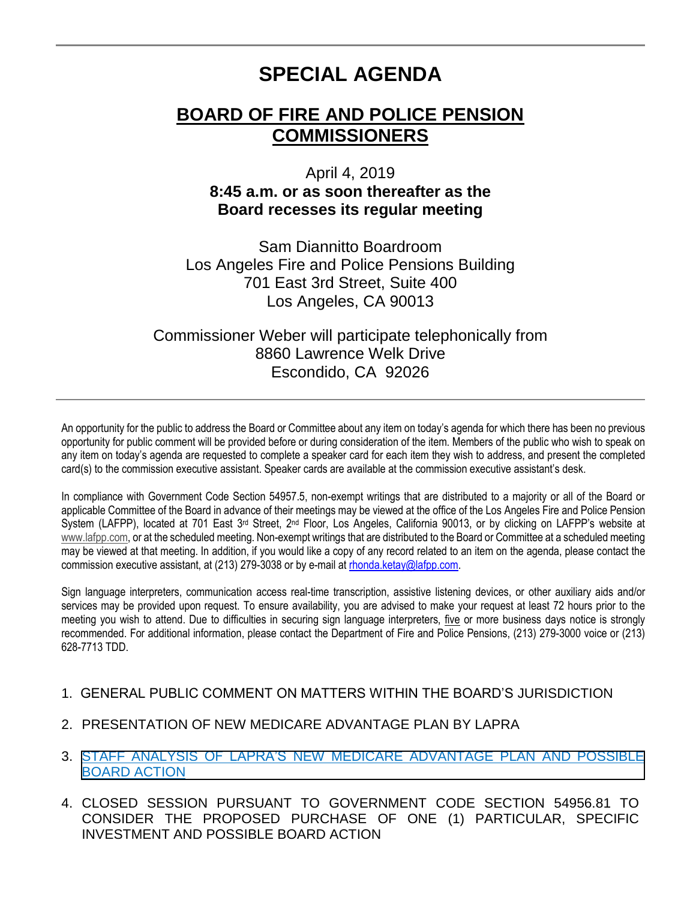# **SPECIAL AGENDA**

## **BOARD OF FIRE AND POLICE PENSION COMMISSIONERS**

### April 4, 2019 **8:45 a.m. or as soon thereafter as the Board recesses its regular meeting**

Sam Diannitto Boardroom Los Angeles Fire and Police Pensions Building 701 East 3rd Street, Suite 400 Los Angeles, CA 90013

### Commissioner Weber will participate telephonically from 8860 Lawrence Welk Drive Escondido, CA 92026

An opportunity for the public to address the Board or Committee about any item on today's agenda for which there has been no previous opportunity for public comment will be provided before or during consideration of the item. Members of the public who wish to speak on any item on today's agenda are requested to complete a speaker card for each item they wish to address, and present the completed card(s) to the commission executive assistant. Speaker cards are available at the commission executive assistant's desk.

In compliance with Government Code Section 54957.5, non-exempt writings that are distributed to a majority or all of the Board or applicable Committee of the Board in advance of their meetings may be viewed at the office of the Los Angeles Fire and Police Pension System (LAFPP), located at 701 East 3<sup>rd</sup> Street, 2<sup>nd</sup> Floor, Los Angeles, California 90013, or by clicking on LAFPP's website at [www.lafpp.com,](http://www.lafpp.com/) or at the scheduled meeting. Non-exempt writings that are distributed to the Board or Committee at a scheduled meeting may be viewed at that meeting. In addition, if you would like a copy of any record related to an item on the agenda, please contact the commission executive assistant, at (213) 279-3038 or by e-mail at [rhonda.ketay@lafpp.com.](mailto:rhonda.ketay@lafpp.com)

Sign language interpreters, communication access real-time transcription, assistive listening devices, or other auxiliary aids and/or services may be provided upon request. To ensure availability, you are advised to make your request at least 72 hours prior to the meeting you wish to attend. Due to difficulties in securing sign language interpreters, five or more business days notice is strongly recommended. For additional information, please contact the Department of Fire and Police Pensions, (213) 279-3000 voice or (213) 628-7713 TDD.

#### 1. GENERAL PUBLIC COMMENT ON MATTERS WITHIN THE BOARD'S JURISDICTION

- 2. PRESENTATION OF NEW MEDICARE ADVANTAGE PLAN BY LAPRA
- 3. [STAFF ANALYSIS OF LAPRA'S NEW MEDICARE ADVANTAGE PLAN](#page-1-0) AND POSSIBLE BOARD ACTION
- 4. CLOSED SESSION PURSUANT TO GOVERNMENT CODE SECTION 54956.81 TO CONSIDER THE PROPOSED PURCHASE OF ONE (1) PARTICULAR, SPECIFIC INVESTMENT AND POSSIBLE BOARD ACTION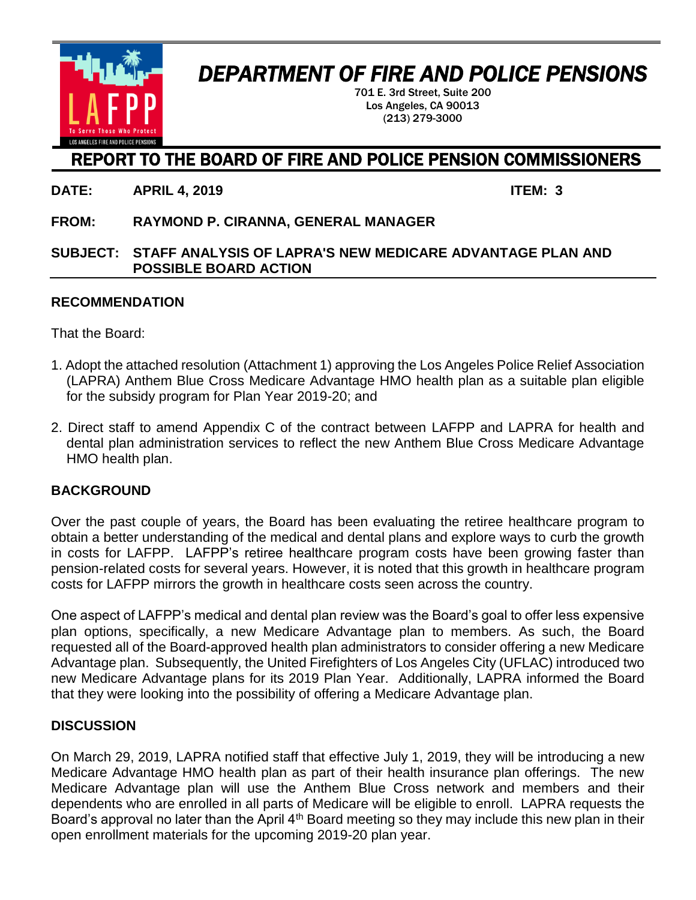<span id="page-1-0"></span>

# *DEPARTMENT OF FIRE AND POLICE PENSIONS*

701 E. 3rd Street, Suite 200 Los Angeles, CA 90013 (213) 279-3000

## REPORT TO THE BOARD OF FIRE AND POLICE PENSION COMMISSIONERS

**DATE: APRIL 4, 2019 ITEM: 3**

**FROM: RAYMOND P. CIRANNA, GENERAL MANAGER**

#### **SUBJECT: STAFF ANALYSIS OF LAPRA'S NEW MEDICARE ADVANTAGE PLAN AND POSSIBLE BOARD ACTION**

#### **RECOMMENDATION**

That the Board:

- 1. Adopt the attached resolution (Attachment 1) approving the Los Angeles Police Relief Association (LAPRA) Anthem Blue Cross Medicare Advantage HMO health plan as a suitable plan eligible for the subsidy program for Plan Year 2019-20; and
- 2. Direct staff to amend Appendix C of the contract between LAFPP and LAPRA for health and dental plan administration services to reflect the new Anthem Blue Cross Medicare Advantage HMO health plan.

#### **BACKGROUND**

Over the past couple of years, the Board has been evaluating the retiree healthcare program to obtain a better understanding of the medical and dental plans and explore ways to curb the growth in costs for LAFPP. LAFPP's retiree healthcare program costs have been growing faster than pension-related costs for several years. However, it is noted that this growth in healthcare program costs for LAFPP mirrors the growth in healthcare costs seen across the country.

One aspect of LAFPP's medical and dental plan review was the Board's goal to offer less expensive plan options, specifically, a new Medicare Advantage plan to members. As such, the Board requested all of the Board-approved health plan administrators to consider offering a new Medicare Advantage plan. Subsequently, the United Firefighters of Los Angeles City (UFLAC) introduced two new Medicare Advantage plans for its 2019 Plan Year. Additionally, LAPRA informed the Board that they were looking into the possibility of offering a Medicare Advantage plan.

#### **DISCUSSION**

On March 29, 2019, LAPRA notified staff that effective July 1, 2019, they will be introducing a new Medicare Advantage HMO health plan as part of their health insurance plan offerings. The new Medicare Advantage plan will use the Anthem Blue Cross network and members and their dependents who are enrolled in all parts of Medicare will be eligible to enroll. LAPRA requests the Board's approval no later than the April 4<sup>th</sup> Board meeting so they may include this new plan in their open enrollment materials for the upcoming 2019-20 plan year.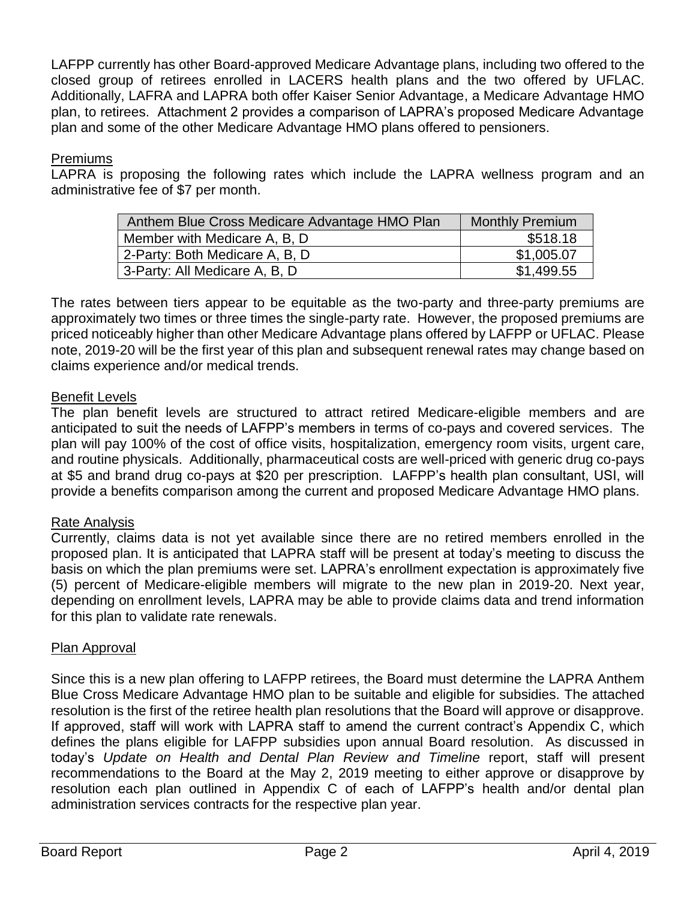LAFPP currently has other Board-approved Medicare Advantage plans, including two offered to the closed group of retirees enrolled in LACERS health plans and the two offered by UFLAC. Additionally, LAFRA and LAPRA both offer Kaiser Senior Advantage, a Medicare Advantage HMO plan, to retirees. Attachment 2 provides a comparison of LAPRA's proposed Medicare Advantage plan and some of the other Medicare Advantage HMO plans offered to pensioners.

#### Premiums

LAPRA is proposing the following rates which include the LAPRA wellness program and an administrative fee of \$7 per month.

| Anthem Blue Cross Medicare Advantage HMO Plan | <b>Monthly Premium</b> |
|-----------------------------------------------|------------------------|
| Member with Medicare A, B, D                  | \$518.18               |
| 2-Party: Both Medicare A, B, D                | \$1,005.07             |
| 3-Party: All Medicare A, B, D                 | \$1,499.55             |

The rates between tiers appear to be equitable as the two-party and three-party premiums are approximately two times or three times the single-party rate. However, the proposed premiums are priced noticeably higher than other Medicare Advantage plans offered by LAFPP or UFLAC. Please note, 2019-20 will be the first year of this plan and subsequent renewal rates may change based on claims experience and/or medical trends.

#### Benefit Levels

The plan benefit levels are structured to attract retired Medicare-eligible members and are anticipated to suit the needs of LAFPP's members in terms of co-pays and covered services. The plan will pay 100% of the cost of office visits, hospitalization, emergency room visits, urgent care, and routine physicals. Additionally, pharmaceutical costs are well-priced with generic drug co-pays at \$5 and brand drug co-pays at \$20 per prescription. LAFPP's health plan consultant, USI, will provide a benefits comparison among the current and proposed Medicare Advantage HMO plans.

#### Rate Analysis

Currently, claims data is not yet available since there are no retired members enrolled in the proposed plan. It is anticipated that LAPRA staff will be present at today's meeting to discuss the basis on which the plan premiums were set. LAPRA's enrollment expectation is approximately five (5) percent of Medicare-eligible members will migrate to the new plan in 2019-20. Next year, depending on enrollment levels, LAPRA may be able to provide claims data and trend information for this plan to validate rate renewals.

#### Plan Approval

Since this is a new plan offering to LAFPP retirees, the Board must determine the LAPRA Anthem Blue Cross Medicare Advantage HMO plan to be suitable and eligible for subsidies. The attached resolution is the first of the retiree health plan resolutions that the Board will approve or disapprove. If approved, staff will work with LAPRA staff to amend the current contract's Appendix C, which defines the plans eligible for LAFPP subsidies upon annual Board resolution. As discussed in today's *Update on Health and Dental Plan Review and Timeline* report, staff will present recommendations to the Board at the May 2, 2019 meeting to either approve or disapprove by resolution each plan outlined in Appendix C of each of LAFPP's health and/or dental plan administration services contracts for the respective plan year.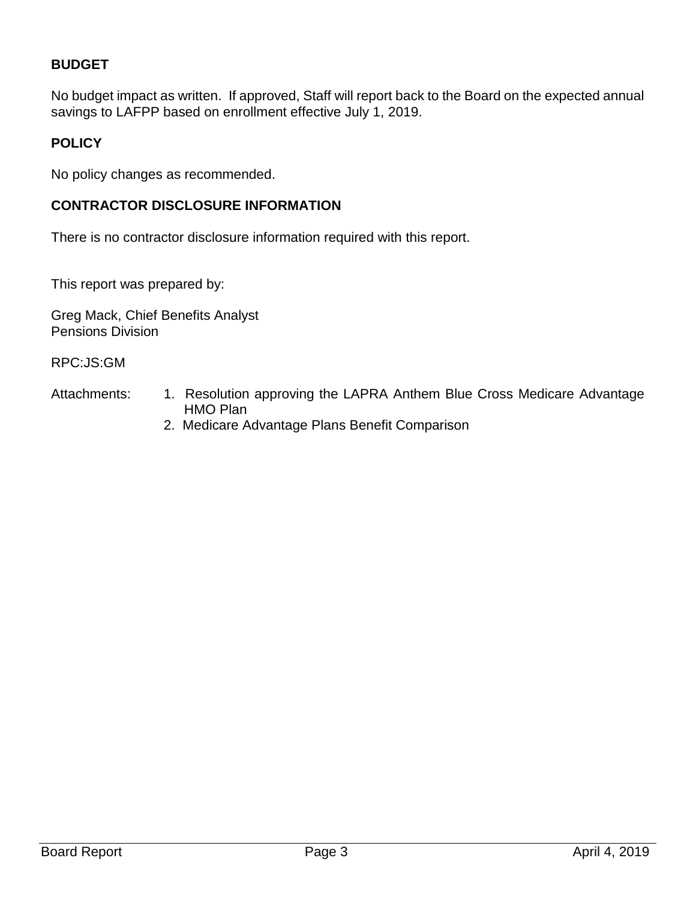#### **BUDGET**

No budget impact as written. If approved, Staff will report back to the Board on the expected annual savings to LAFPP based on enrollment effective July 1, 2019.

#### **POLICY**

No policy changes as recommended.

#### **CONTRACTOR DISCLOSURE INFORMATION**

There is no contractor disclosure information required with this report.

This report was prepared by:

Greg Mack, Chief Benefits Analyst Pensions Division

RPC:JS:GM

- Attachments: 1. Resolution approving the LAPRA Anthem Blue Cross Medicare Advantage HMO Plan
	- 2. Medicare Advantage Plans Benefit Comparison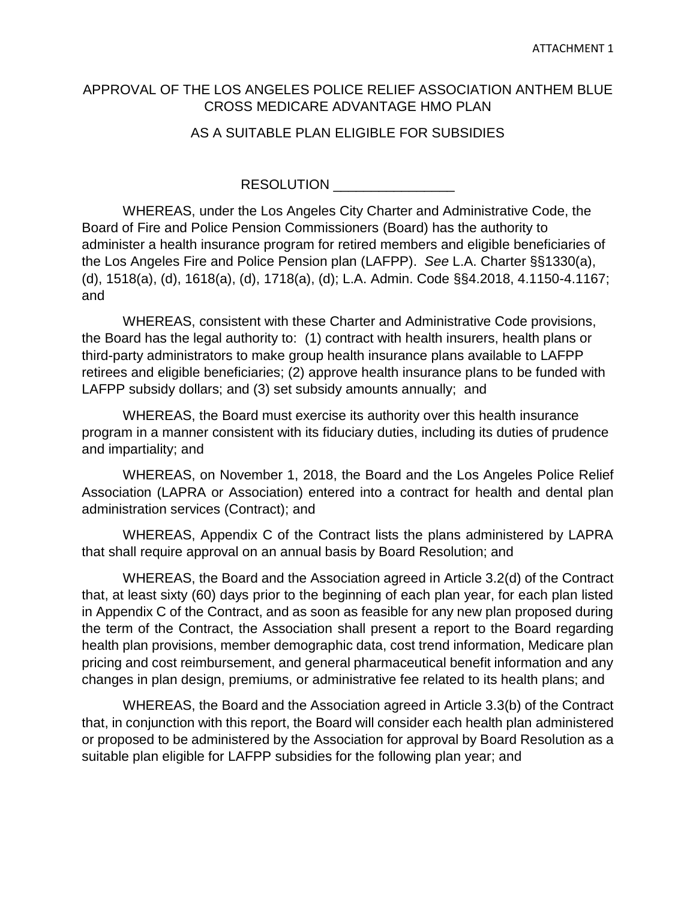#### APPROVAL OF THE LOS ANGELES POLICE RELIEF ASSOCIATION ANTHEM BLUE CROSS MEDICARE ADVANTAGE HMO PLAN

#### AS A SUITABLE PLAN ELIGIBLE FOR SUBSIDIES

RESOLUTION **EXECUTE** 

WHEREAS, under the Los Angeles City Charter and Administrative Code, the Board of Fire and Police Pension Commissioners (Board) has the authority to administer a health insurance program for retired members and eligible beneficiaries of the Los Angeles Fire and Police Pension plan (LAFPP). *See* L.A. Charter §§1330(a), (d), 1518(a), (d), 1618(a), (d), 1718(a), (d); L.A. Admin. Code §§4.2018, 4.1150-4.1167; and

WHEREAS, consistent with these Charter and Administrative Code provisions, the Board has the legal authority to: (1) contract with health insurers, health plans or third-party administrators to make group health insurance plans available to LAFPP retirees and eligible beneficiaries; (2) approve health insurance plans to be funded with LAFPP subsidy dollars; and (3) set subsidy amounts annually; and

WHEREAS, the Board must exercise its authority over this health insurance program in a manner consistent with its fiduciary duties, including its duties of prudence and impartiality; and

WHEREAS, on November 1, 2018, the Board and the Los Angeles Police Relief Association (LAPRA or Association) entered into a contract for health and dental plan administration services (Contract); and

WHEREAS, Appendix C of the Contract lists the plans administered by LAPRA that shall require approval on an annual basis by Board Resolution; and

WHEREAS, the Board and the Association agreed in Article 3.2(d) of the Contract that, at least sixty (60) days prior to the beginning of each plan year, for each plan listed in Appendix C of the Contract, and as soon as feasible for any new plan proposed during the term of the Contract, the Association shall present a report to the Board regarding health plan provisions, member demographic data, cost trend information, Medicare plan pricing and cost reimbursement, and general pharmaceutical benefit information and any changes in plan design, premiums, or administrative fee related to its health plans; and

WHEREAS, the Board and the Association agreed in Article 3.3(b) of the Contract that, in conjunction with this report, the Board will consider each health plan administered or proposed to be administered by the Association for approval by Board Resolution as a suitable plan eligible for LAFPP subsidies for the following plan year; and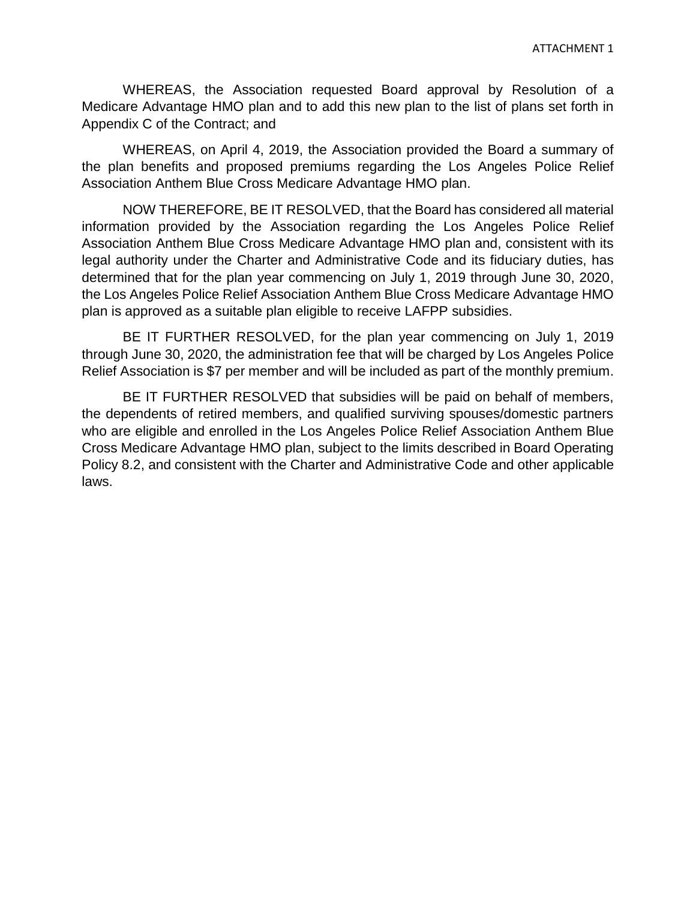WHEREAS, the Association requested Board approval by Resolution of a Medicare Advantage HMO plan and to add this new plan to the list of plans set forth in Appendix C of the Contract; and

WHEREAS, on April 4, 2019, the Association provided the Board a summary of the plan benefits and proposed premiums regarding the Los Angeles Police Relief Association Anthem Blue Cross Medicare Advantage HMO plan.

NOW THEREFORE, BE IT RESOLVED, that the Board has considered all material information provided by the Association regarding the Los Angeles Police Relief Association Anthem Blue Cross Medicare Advantage HMO plan and, consistent with its legal authority under the Charter and Administrative Code and its fiduciary duties, has determined that for the plan year commencing on July 1, 2019 through June 30, 2020, the Los Angeles Police Relief Association Anthem Blue Cross Medicare Advantage HMO plan is approved as a suitable plan eligible to receive LAFPP subsidies.

BE IT FURTHER RESOLVED, for the plan year commencing on July 1, 2019 through June 30, 2020, the administration fee that will be charged by Los Angeles Police Relief Association is \$7 per member and will be included as part of the monthly premium.

BE IT FURTHER RESOLVED that subsidies will be paid on behalf of members, the dependents of retired members, and qualified surviving spouses/domestic partners who are eligible and enrolled in the Los Angeles Police Relief Association Anthem Blue Cross Medicare Advantage HMO plan, subject to the limits described in Board Operating Policy 8.2, and consistent with the Charter and Administrative Code and other applicable laws.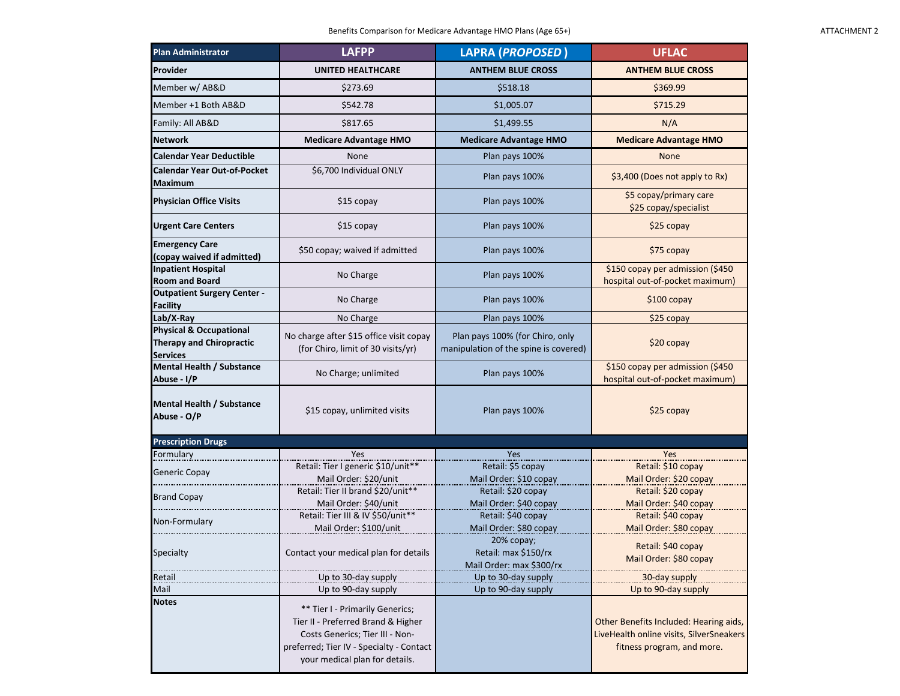| <b>Plan Administrator</b>                                                                | <b>LAFPP</b>                                                                                                                                                                           | <b>LAPRA (PROPOSED)</b>                                                  | <b>UFLAC</b>                                                                                                     |
|------------------------------------------------------------------------------------------|----------------------------------------------------------------------------------------------------------------------------------------------------------------------------------------|--------------------------------------------------------------------------|------------------------------------------------------------------------------------------------------------------|
| Provider                                                                                 | <b>UNITED HEALTHCARE</b>                                                                                                                                                               | <b>ANTHEM BLUE CROSS</b>                                                 | <b>ANTHEM BLUE CROSS</b>                                                                                         |
| Member w/ AB&D                                                                           | \$273.69                                                                                                                                                                               | \$518.18                                                                 | \$369.99                                                                                                         |
| Member +1 Both AB&D                                                                      | \$542.78                                                                                                                                                                               | \$1,005.07                                                               | \$715.29                                                                                                         |
| Family: All AB&D                                                                         | \$817.65                                                                                                                                                                               | \$1,499.55                                                               | N/A                                                                                                              |
| Network                                                                                  | <b>Medicare Advantage HMO</b>                                                                                                                                                          | <b>Medicare Advantage HMO</b>                                            | <b>Medicare Advantage HMO</b>                                                                                    |
| <b>Calendar Year Deductible</b>                                                          | None                                                                                                                                                                                   | Plan pays 100%                                                           | None                                                                                                             |
| <b>Calendar Year Out-of-Pocket</b><br><b>Maximum</b>                                     | \$6,700 Individual ONLY                                                                                                                                                                | Plan pays 100%                                                           | \$3,400 (Does not apply to Rx)                                                                                   |
| <b>Physician Office Visits</b>                                                           | \$15 copay                                                                                                                                                                             | Plan pays 100%                                                           | \$5 copay/primary care<br>\$25 copay/specialist                                                                  |
| <b>Urgent Care Centers</b>                                                               | \$15 copay                                                                                                                                                                             | Plan pays 100%                                                           | \$25 copay                                                                                                       |
| <b>Emergency Care</b><br>(copay waived if admitted)                                      | \$50 copay; waived if admitted                                                                                                                                                         | Plan pays 100%                                                           | \$75 copay                                                                                                       |
| <b>Inpatient Hospital</b><br><b>Room and Board</b>                                       | No Charge                                                                                                                                                                              | Plan pays 100%                                                           | \$150 copay per admission (\$450<br>hospital out-of-pocket maximum)                                              |
| <b>Outpatient Surgery Center -</b><br><b>Facility</b>                                    | No Charge                                                                                                                                                                              | Plan pays 100%                                                           | $$100$ copay                                                                                                     |
| Lab/X-Ray                                                                                | No Charge                                                                                                                                                                              | Plan pays 100%                                                           | \$25 copay                                                                                                       |
| <b>Physical &amp; Occupational</b><br><b>Therapy and Chiropractic</b><br><b>Services</b> | No charge after \$15 office visit copay<br>(for Chiro, limit of 30 visits/yr)                                                                                                          | Plan pays 100% (for Chiro, only<br>manipulation of the spine is covered) | $$20$ copay                                                                                                      |
| Mental Health / Substance<br>Abuse - I/P                                                 | No Charge; unlimited                                                                                                                                                                   | Plan pays 100%                                                           | \$150 copay per admission (\$450<br>hospital out-of-pocket maximum)                                              |
| <b>Mental Health / Substance</b><br>Abuse - O/P                                          | \$15 copay, unlimited visits                                                                                                                                                           | Plan pays 100%                                                           | \$25 copay                                                                                                       |
| <b>Prescription Drugs</b>                                                                |                                                                                                                                                                                        |                                                                          |                                                                                                                  |
| Formulary                                                                                | Yes                                                                                                                                                                                    | Yes                                                                      | Yes                                                                                                              |
| Generic Copay                                                                            | Retail: Tier I generic \$10/unit**                                                                                                                                                     | Retail: \$5 copay                                                        | Retail: \$10 copay                                                                                               |
|                                                                                          | Mail Order: \$20/unit                                                                                                                                                                  | Mail Order: \$10 copay                                                   | Mail Order: \$20 copay                                                                                           |
| <b>Brand Copay</b>                                                                       | Retail: Tier II brand \$20/unit**                                                                                                                                                      | Retail: \$20 copay                                                       | Retail: \$20 copay                                                                                               |
|                                                                                          | Mail Order: \$40/unit<br>Retail: Tier III & IV \$50/unit**                                                                                                                             | Mail Order: \$40 copay                                                   | Mail Order: \$40 copay                                                                                           |
| Non-Formulary                                                                            |                                                                                                                                                                                        | Retail: \$40 copay<br>Mail Order: \$80 copay                             | Retail: \$40 copay                                                                                               |
|                                                                                          | Mail Order: \$100/unit                                                                                                                                                                 | 20% сорау;                                                               | Mail Order: \$80 copay                                                                                           |
| Specialty                                                                                | Contact your medical plan for details                                                                                                                                                  | Retail: max \$150/rx<br>Mail Order: max \$300/rx                         | Retail: \$40 copay<br>Mail Order: \$80 copay                                                                     |
| Retail                                                                                   | Up to 30-day supply                                                                                                                                                                    | Up to 30-day supply                                                      | 30-day supply                                                                                                    |
| Mail                                                                                     | Up to 90-day supply                                                                                                                                                                    | Up to 90-day supply                                                      | Up to 90-day supply                                                                                              |
| <b>Notes</b>                                                                             | ** Tier I - Primarily Generics;<br>Tier II - Preferred Brand & Higher<br>Costs Generics; Tier III - Non-<br>preferred; Tier IV - Specialty - Contact<br>your medical plan for details. |                                                                          | Other Benefits Included: Hearing aids,<br>LiveHealth online visits, SilverSneakers<br>fitness program, and more. |